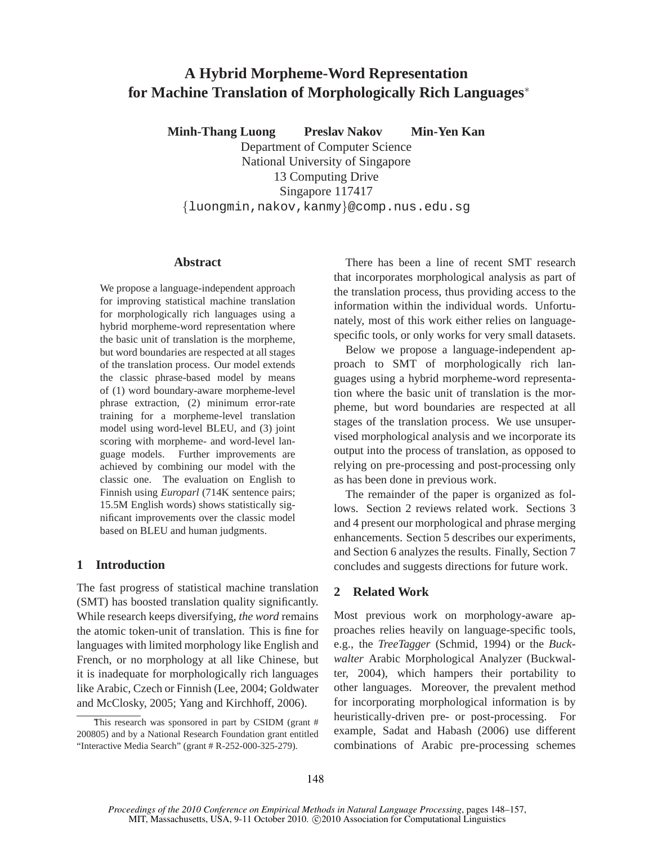# **A Hybrid Morpheme-Word Representation for Machine Translation of Morphologically Rich Languages**<sup>∗</sup>

**Minh-Thang Luong Preslav Nakov Min-Yen Kan**

Department of Computer Science National University of Singapore 13 Computing Drive Singapore 117417 {luongmin,nakov,kanmy}@comp.nus.edu.sg

# **Abstract**

We propose a language-independent approach for improving statistical machine translation for morphologically rich languages using a hybrid morpheme-word representation where the basic unit of translation is the morpheme, but word boundaries are respected at all stages of the translation process. Our model extends the classic phrase-based model by means of (1) word boundary-aware morpheme-level phrase extraction, (2) minimum error-rate training for a morpheme-level translation model using word-level BLEU, and (3) joint scoring with morpheme- and word-level language models. Further improvements are achieved by combining our model with the classic one. The evaluation on English to Finnish using *Europarl* (714K sentence pairs; 15.5M English words) shows statistically significant improvements over the classic model based on BLEU and human judgments.

# **1 Introduction**

The fast progress of statistical machine translation (SMT) has boosted translation quality significantly. While research keeps diversifying, *the word* remains the atomic token-unit of translation. This is fine for languages with limited morphology like English and French, or no morphology at all like Chinese, but it is inadequate for morphologically rich languages like Arabic, Czech or Finnish (Lee, 2004; Goldwater and McClosky, 2005; Yang and Kirchhoff, 2006).

There has been a line of recent SMT research that incorporates morphological analysis as part of the translation process, thus providing access to the information within the individual words. Unfortunately, most of this work either relies on languagespecific tools, or only works for very small datasets.

Below we propose a language-independent approach to SMT of morphologically rich languages using a hybrid morpheme-word representation where the basic unit of translation is the morpheme, but word boundaries are respected at all stages of the translation process. We use unsupervised morphological analysis and we incorporate its output into the process of translation, as opposed to relying on pre-processing and post-processing only as has been done in previous work.

The remainder of the paper is organized as follows. Section 2 reviews related work. Sections 3 and 4 present our morphological and phrase merging enhancements. Section 5 describes our experiments, and Section 6 analyzes the results. Finally, Section 7 concludes and suggests directions for future work.

# **2 Related Work**

Most previous work on morphology-aware approaches relies heavily on language-specific tools, e.g., the *TreeTagger* (Schmid, 1994) or the *Buckwalter* Arabic Morphological Analyzer (Buckwalter, 2004), which hampers their portability to other languages. Moreover, the prevalent method for incorporating morphological information is by heuristically-driven pre- or post-processing. For example, Sadat and Habash (2006) use different combinations of Arabic pre-processing schemes

This research was sponsored in part by CSIDM (grant # 200805) and by a National Research Foundation grant entitled "Interactive Media Search" (grant # R-252-000-325-279).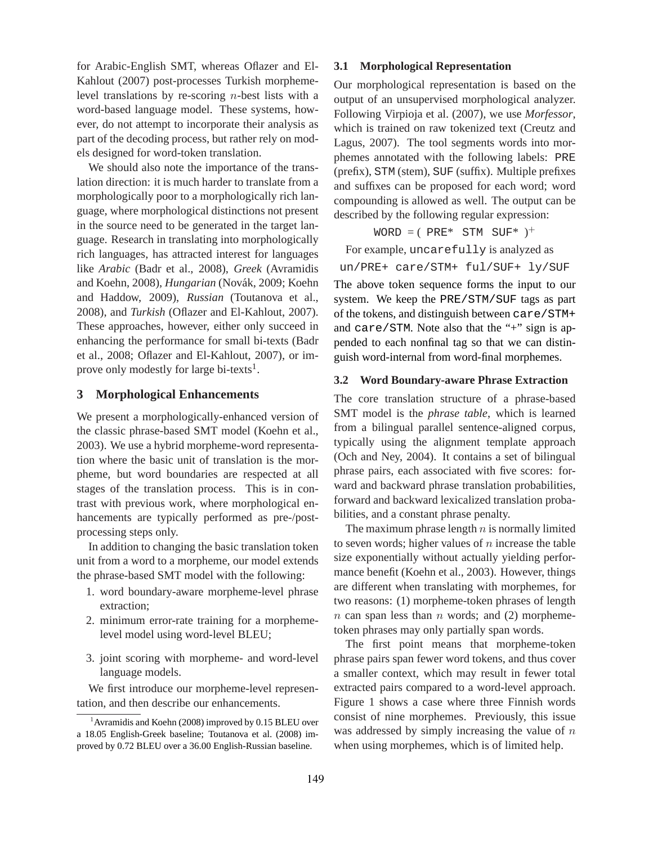for Arabic-English SMT, whereas Oflazer and El-Kahlout (2007) post-processes Turkish morphemelevel translations by re-scoring n-best lists with a word-based language model. These systems, however, do not attempt to incorporate their analysis as part of the decoding process, but rather rely on models designed for word-token translation.

We should also note the importance of the translation direction: it is much harder to translate from a morphologically poor to a morphologically rich language, where morphological distinctions not present in the source need to be generated in the target language. Research in translating into morphologically rich languages, has attracted interest for languages like *Arabic* (Badr et al., 2008), *Greek* (Avramidis and Koehn, 2008), *Hungarian* (Novák, 2009; Koehn and Haddow, 2009), *Russian* (Toutanova et al., 2008), and *Turkish* (Oflazer and El-Kahlout, 2007). These approaches, however, either only succeed in enhancing the performance for small bi-texts (Badr et al., 2008; Oflazer and El-Kahlout, 2007), or improve only modestly for large bi-texts<sup>1</sup>.

#### **3 Morphological Enhancements**

We present a morphologically-enhanced version of the classic phrase-based SMT model (Koehn et al., 2003). We use a hybrid morpheme-word representation where the basic unit of translation is the morpheme, but word boundaries are respected at all stages of the translation process. This is in contrast with previous work, where morphological enhancements are typically performed as pre-/postprocessing steps only.

In addition to changing the basic translation token unit from a word to a morpheme, our model extends the phrase-based SMT model with the following:

- 1. word boundary-aware morpheme-level phrase extraction;
- 2. minimum error-rate training for a morphemelevel model using word-level BLEU;
- 3. joint scoring with morpheme- and word-level language models.

We first introduce our morpheme-level representation, and then describe our enhancements.

#### **3.1 Morphological Representation**

Our morphological representation is based on the output of an unsupervised morphological analyzer. Following Virpioja et al. (2007), we use *Morfessor*, which is trained on raw tokenized text (Creutz and Lagus, 2007). The tool segments words into morphemes annotated with the following labels: PRE (prefix), STM (stem), SUF (suffix). Multiple prefixes and suffixes can be proposed for each word; word compounding is allowed as well. The output can be described by the following regular expression:

 $WORD = (PRE* STM SVF* )^+$ 

For example, uncarefully is analyzed as

un/PRE+ care/STM+ ful/SUF+ ly/SUF

The above token sequence forms the input to our system. We keep the PRE/STM/SUF tags as part of the tokens, and distinguish between care/STM+ and care/STM. Note also that the "+" sign is appended to each nonfinal tag so that we can distinguish word-internal from word-final morphemes.

## **3.2 Word Boundary-aware Phrase Extraction**

The core translation structure of a phrase-based SMT model is the *phrase table*, which is learned from a bilingual parallel sentence-aligned corpus, typically using the alignment template approach (Och and Ney, 2004). It contains a set of bilingual phrase pairs, each associated with five scores: forward and backward phrase translation probabilities, forward and backward lexicalized translation probabilities, and a constant phrase penalty.

The maximum phrase length  $n$  is normally limited to seven words; higher values of  $n$  increase the table size exponentially without actually yielding performance benefit (Koehn et al., 2003). However, things are different when translating with morphemes, for two reasons: (1) morpheme-token phrases of length  $n$  can span less than  $n$  words; and (2) morphemetoken phrases may only partially span words.

The first point means that morpheme-token phrase pairs span fewer word tokens, and thus cover a smaller context, which may result in fewer total extracted pairs compared to a word-level approach. Figure 1 shows a case where three Finnish words consist of nine morphemes. Previously, this issue was addressed by simply increasing the value of  $n$ when using morphemes, which is of limited help.

<sup>&</sup>lt;sup>1</sup> Avramidis and Koehn (2008) improved by 0.15 BLEU over a 18.05 English-Greek baseline; Toutanova et al. (2008) improved by 0.72 BLEU over a 36.00 English-Russian baseline.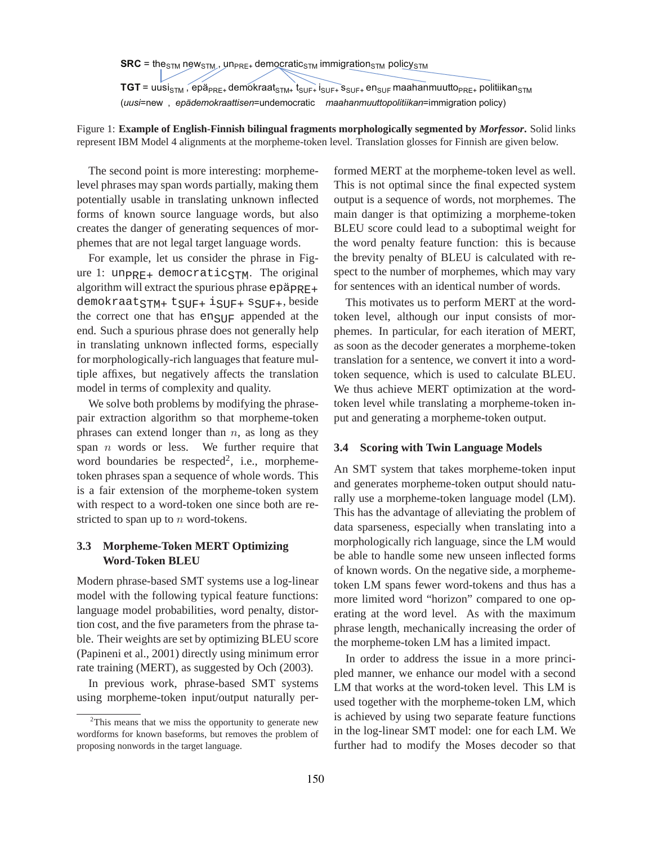$SRC =$  the<sub>STM</sub> new<sub>STM</sub>,  $\mu$ n<sub>PRE+</sub> democratic<sub>STM</sub> immigration<sub>STM</sub> policy<sub>STM</sub>

**TGT** = uusi<sub>STM</sub>, epä<sub>PRE+</sub> demokraat<sub>STM+</sub> t<sub>SUF+</sub> i<sub>SUF+</sub> s<sub>SUF+</sub> en<sub>SUF</sub> maahanmuutto<sub>PRE+</sub> politiikan<sub>STM</sub> (*uusi*=new , *epädemokraattisen*=undemocratic *maahanmuuttopolitiikan*=immigration policy)

Figure 1: **Example of English-Finnish bilingual fragments morphologically segmented by** *Morfessor***.** Solid links represent IBM Model 4 alignments at the morpheme-token level. Translation glosses for Finnish are given below.

The second point is more interesting: morphemelevel phrases may span words partially, making them potentially usable in translating unknown inflected forms of known source language words, but also creates the danger of generating sequences of morphemes that are not legal target language words.

For example, let us consider the phrase in Figure 1:  $un_{\text{PRE+}}$  democratic<sub>STM</sub>. The original algorithm will extract the spurious phrase  $ep\ddot{a}_{\text{PRE+}}$  $demokraat<sub>STM+</sub> t<sub>SUF+</sub> i<sub>SUF+</sub> s<sub>SUF+</sub>$ , beside the correct one that has en $_{\text{SUF}}$  appended at the end. Such a spurious phrase does not generally help in translating unknown inflected forms, especially for morphologically-rich languages that feature multiple affixes, but negatively affects the translation model in terms of complexity and quality.

We solve both problems by modifying the phrasepair extraction algorithm so that morpheme-token phrases can extend longer than  $n$ , as long as they span  $n$  words or less. We further require that word boundaries be respected<sup>2</sup>, i.e., morphemetoken phrases span a sequence of whole words. This is a fair extension of the morpheme-token system with respect to a word-token one since both are restricted to span up to *n* word-tokens.

# **3.3 Morpheme-Token MERT Optimizing Word-Token BLEU**

Modern phrase-based SMT systems use a log-linear model with the following typical feature functions: language model probabilities, word penalty, distortion cost, and the five parameters from the phrase table. Their weights are set by optimizing BLEU score (Papineni et al., 2001) directly using minimum error rate training (MERT), as suggested by Och (2003).

In previous work, phrase-based SMT systems using morpheme-token input/output naturally performed MERT at the morpheme-token level as well. This is not optimal since the final expected system output is a sequence of words, not morphemes. The main danger is that optimizing a morpheme-token BLEU score could lead to a suboptimal weight for the word penalty feature function: this is because the brevity penalty of BLEU is calculated with respect to the number of morphemes, which may vary for sentences with an identical number of words.

This motivates us to perform MERT at the wordtoken level, although our input consists of morphemes. In particular, for each iteration of MERT, as soon as the decoder generates a morpheme-token translation for a sentence, we convert it into a wordtoken sequence, which is used to calculate BLEU. We thus achieve MERT optimization at the wordtoken level while translating a morpheme-token input and generating a morpheme-token output.

#### **3.4 Scoring with Twin Language Models**

An SMT system that takes morpheme-token input and generates morpheme-token output should naturally use a morpheme-token language model (LM). This has the advantage of alleviating the problem of data sparseness, especially when translating into a morphologically rich language, since the LM would be able to handle some new unseen inflected forms of known words. On the negative side, a morphemetoken LM spans fewer word-tokens and thus has a more limited word "horizon" compared to one operating at the word level. As with the maximum phrase length, mechanically increasing the order of the morpheme-token LM has a limited impact.

In order to address the issue in a more principled manner, we enhance our model with a second LM that works at the word-token level. This LM is used together with the morpheme-token LM, which is achieved by using two separate feature functions in the log-linear SMT model: one for each LM. We further had to modify the Moses decoder so that

<sup>&</sup>lt;sup>2</sup>This means that we miss the opportunity to generate new wordforms for known baseforms, but removes the problem of proposing nonwords in the target language.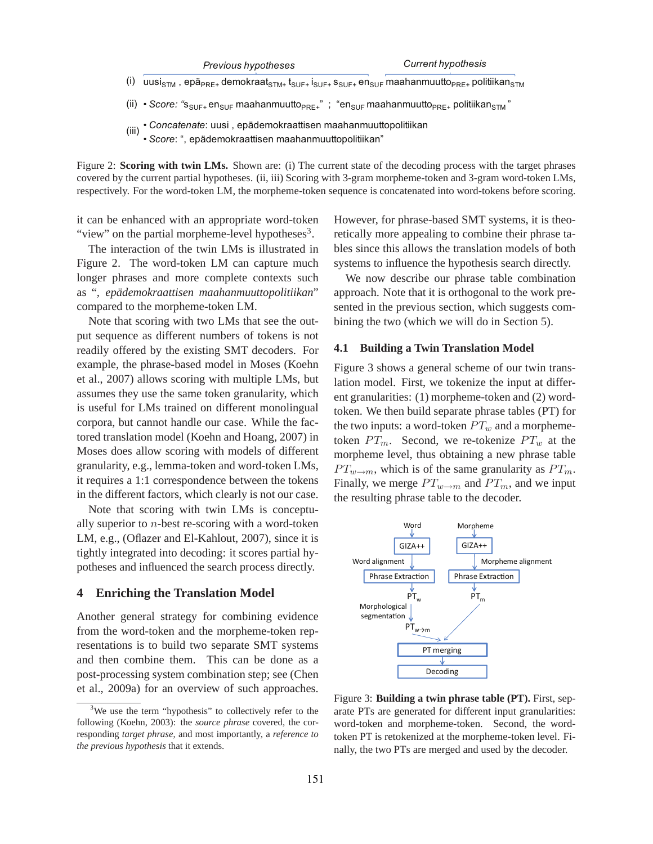- (i) uusi<sub>STM</sub> , epä<sub>PRE+</sub> demokraat<sub>STM+</sub> t<sub>SUF+</sub> i<sub>SUF+</sub> s<sub>SUF+</sub> en<sub>SUF</sub> maahanmuutto<sub>PRE+</sub> politiikan<sub>STM</sub>
- (ii) Score: "s<sub>SUF+</sub> en<sub>SUF</sub> maahanmuutto<sub>PRE+</sub>" ;"en<sub>SUF</sub> maahanmuutto<sub>PRE+</sub> politiikan<sub>STM</sub>"
- *Concatenate*: uusi , epädemokraattisen maahanmuuttopolitiikan (iii)
	- *Score*: ", epädemokraattisen maahanmuuttopolitiikan"

Figure 2: **Scoring with twin LMs.** Shown are: (i) The current state of the decoding process with the target phrases covered by the current partial hypotheses. (ii, iii) Scoring with 3-gram morpheme-token and 3-gram word-token LMs, respectively. For the word-token LM, the morpheme-token sequence is concatenated into word-tokens before scoring.

it can be enhanced with an appropriate word-token "view" on the partial morpheme-level hypotheses $3$ .

The interaction of the twin LMs is illustrated in Figure 2. The word-token LM can capture much longer phrases and more complete contexts such as "*, epademokraattisen maahanmuuttopolitiikan ¨* " compared to the morpheme-token LM.

Note that scoring with two LMs that see the output sequence as different numbers of tokens is not readily offered by the existing SMT decoders. For example, the phrase-based model in Moses (Koehn et al., 2007) allows scoring with multiple LMs, but assumes they use the same token granularity, which is useful for LMs trained on different monolingual corpora, but cannot handle our case. While the factored translation model (Koehn and Hoang, 2007) in Moses does allow scoring with models of different granularity, e.g., lemma-token and word-token LMs, it requires a 1:1 correspondence between the tokens in the different factors, which clearly is not our case.

Note that scoring with twin LMs is conceptually superior to n-best re-scoring with a word-token LM, e.g., (Oflazer and El-Kahlout, 2007), since it is tightly integrated into decoding: it scores partial hypotheses and influenced the search process directly.

# **4 Enriching the Translation Model**

Another general strategy for combining evidence from the word-token and the morpheme-token representations is to build two separate SMT systems and then combine them. This can be done as a post-processing system combination step; see (Chen et al., 2009a) for an overview of such approaches.

However, for phrase-based SMT systems, it is theoretically more appealing to combine their phrase tables since this allows the translation models of both systems to influence the hypothesis search directly.

We now describe our phrase table combination approach. Note that it is orthogonal to the work presented in the previous section, which suggests combining the two (which we will do in Section 5).

#### **4.1 Building a Twin Translation Model**

Figure 3 shows a general scheme of our twin translation model. First, we tokenize the input at different granularities: (1) morpheme-token and (2) wordtoken. We then build separate phrase tables (PT) for the two inputs: a word-token  $PT_w$  and a morphemetoken  $PT_m$ . Second, we re-tokenize  $PT_w$  at the morpheme level, thus obtaining a new phrase table  $PT_{w\rightarrow m}$ , which is of the same granularity as  $PT_m$ . Finally, we merge  $PT_{w\rightarrow m}$  and  $PT_m$ , and we input the resulting phrase table to the decoder.



Figure 3: **Building a twin phrase table (PT).** First, separate PTs are generated for different input granularities: word-token and morpheme-token. Second, the wordtoken PT is retokenized at the morpheme-token level. Finally, the two PTs are merged and used by the decoder.

<sup>&</sup>lt;sup>3</sup>We use the term "hypothesis" to collectively refer to the following (Koehn, 2003): the *source phrase* covered, the corresponding *target phrase*, and most importantly, a *reference to the previous hypothesis* that it extends.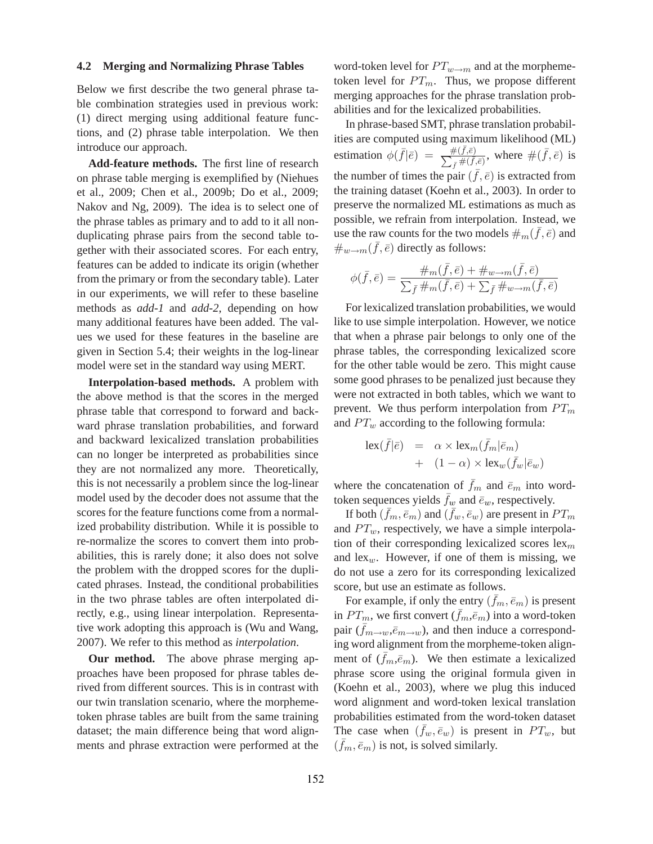#### **4.2 Merging and Normalizing Phrase Tables**

Below we first describe the two general phrase table combination strategies used in previous work: (1) direct merging using additional feature functions, and (2) phrase table interpolation. We then introduce our approach.

**Add-feature methods.** The first line of research on phrase table merging is exemplified by (Niehues et al., 2009; Chen et al., 2009b; Do et al., 2009; Nakov and Ng, 2009). The idea is to select one of the phrase tables as primary and to add to it all nonduplicating phrase pairs from the second table together with their associated scores. For each entry, features can be added to indicate its origin (whether from the primary or from the secondary table). Later in our experiments, we will refer to these baseline methods as *add-1* and *add-2*, depending on how many additional features have been added. The values we used for these features in the baseline are given in Section 5.4; their weights in the log-linear model were set in the standard way using MERT.

**Interpolation-based methods.** A problem with the above method is that the scores in the merged phrase table that correspond to forward and backward phrase translation probabilities, and forward and backward lexicalized translation probabilities can no longer be interpreted as probabilities since they are not normalized any more. Theoretically, this is not necessarily a problem since the log-linear model used by the decoder does not assume that the scores for the feature functions come from a normalized probability distribution. While it is possible to re-normalize the scores to convert them into probabilities, this is rarely done; it also does not solve the problem with the dropped scores for the duplicated phrases. Instead, the conditional probabilities in the two phrase tables are often interpolated directly, e.g., using linear interpolation. Representative work adopting this approach is (Wu and Wang, 2007). We refer to this method as *interpolation*.

**Our method.** The above phrase merging approaches have been proposed for phrase tables derived from different sources. This is in contrast with our twin translation scenario, where the morphemetoken phrase tables are built from the same training dataset; the main difference being that word alignments and phrase extraction were performed at the word-token level for  $PT_{w\rightarrow m}$  and at the morphemetoken level for  $PT_m$ . Thus, we propose different merging approaches for the phrase translation probabilities and for the lexicalized probabilities.

In phrase-based SMT, phrase translation probabilities are computed using maximum likelihood (ML) estimation  $\phi(\bar{f}|\bar{e}) = \frac{\#(\bar{f},\bar{e})}{\sum_{\bar{f}} \#(\bar{f},\bar{e})}$  $\frac{\#(f,\bar{e})}{\bar{f}^{\#}(\bar{f},\bar{e})}$ , where  $\#(\bar{f},\bar{e})$  is the number of times the pair  $(\bar{f}, \bar{e})$  is extracted from the training dataset (Koehn et al., 2003). In order to preserve the normalized ML estimations as much as possible, we refrain from interpolation. Instead, we use the raw counts for the two models  $\#_{m}(\bar{f}, \bar{e})$  and  $\#_{w \to m}(\bar{f}, \bar{e})$  directly as follows:

$$
\phi(\bar{f}, \bar{e}) = \frac{\#_m(\bar{f}, \bar{e}) + \#_{w \to m}(\bar{f}, \bar{e})}{\sum_{\bar{f}} \#_m(\bar{f}, \bar{e}) + \sum_{\bar{f}} \#_{w \to m}(\bar{f}, \bar{e})}
$$

For lexicalized translation probabilities, we would like to use simple interpolation. However, we notice that when a phrase pair belongs to only one of the phrase tables, the corresponding lexicalized score for the other table would be zero. This might cause some good phrases to be penalized just because they were not extracted in both tables, which we want to prevent. We thus perform interpolation from  $PT<sub>m</sub>$ and  $PT_w$  according to the following formula:

$$
\begin{array}{rcl} \mathrm{lex}(\bar{f}|\bar{e}) & = & \alpha \times \mathrm{lex}_m(\bar{f}_m|\bar{e}_m) \\ & + & (1-\alpha) \times \mathrm{lex}_w(\bar{f}_w|\bar{e}_w) \end{array}
$$

where the concatenation of  $\bar{f}_m$  and  $\bar{e}_m$  into wordtoken sequences yields  $\bar{f}_w$  and  $\bar{e}_w$ , respectively.

If both  $(\bar{f}_m, \bar{e}_m)$  and  $(\bar{f}_w, \bar{e}_w)$  are present in  $PT_m$ and  $PT_w$ , respectively, we have a simple interpolation of their corresponding lexicalized scores  $lex<sub>m</sub>$ and  $lex_w$ . However, if one of them is missing, we do not use a zero for its corresponding lexicalized score, but use an estimate as follows.

For example, if only the entry  $(\bar{f}_m, \bar{e}_m)$  is present in  $PT_m$ , we first convert  $(\bar{f}_m, \bar{e}_m)$  into a word-token pair  $(f_{m\to w}, \bar{e}_{m\to w})$ , and then induce a corresponding word alignment from the morpheme-token alignment of  $(f_m, \bar{e}_m)$ . We then estimate a lexicalized phrase score using the original formula given in (Koehn et al., 2003), where we plug this induced word alignment and word-token lexical translation probabilities estimated from the word-token dataset The case when  $(\bar{f}_w, \bar{e}_w)$  is present in  $PT_w$ , but  $(\bar{f}_m, \bar{e}_m)$  is not, is solved similarly.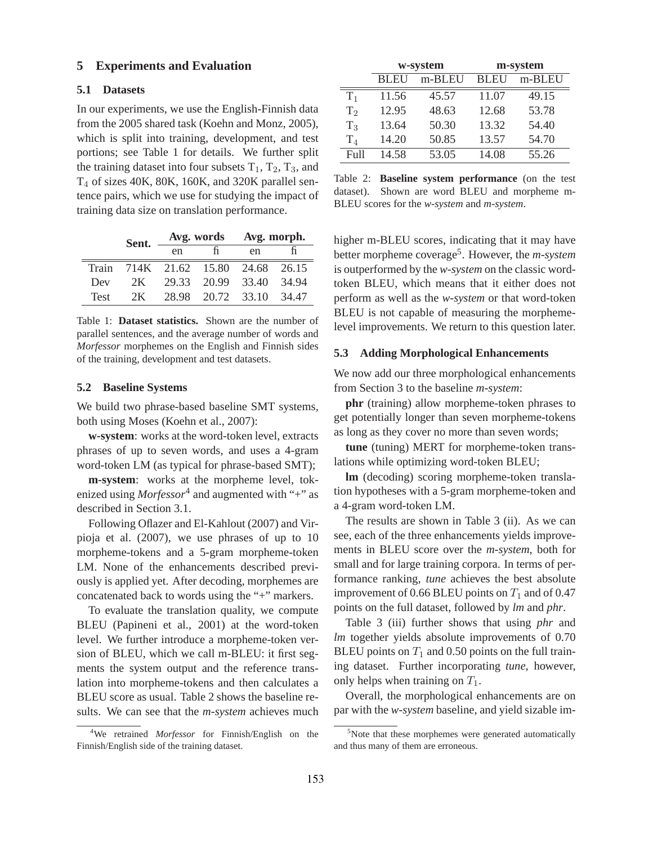#### **5 Experiments and Evaluation**

#### **5.1 Datasets**

In our experiments, we use the English-Finnish data from the 2005 shared task (Koehn and Monz, 2005), which is split into training, development, and test portions; see Table 1 for details. We further split the training dataset into four subsets  $T_1$ ,  $T_2$ ,  $T_3$ , and  $T_4$  of sizes 40K, 80K, 160K, and 320K parallel sentence pairs, which we use for studying the impact of training data size on translation performance.

|      | Sent. |                                    | Avg. words Avg. morph.  |    |     |
|------|-------|------------------------------------|-------------------------|----|-----|
|      |       | en                                 | $-f_{\rm L}$            | en | fi. |
|      |       | Train 714K 21.62 15.80 24.68 26.15 |                         |    |     |
| Dev  | 2K    |                                    | 29.33 20.99 33.40 34.94 |    |     |
| Test | 2K    |                                    | 28.98 20.72 33.10 34.47 |    |     |

Table 1: **Dataset statistics.** Shown are the number of parallel sentences, and the average number of words and *Morfessor* morphemes on the English and Finnish sides of the training, development and test datasets.

#### **5.2 Baseline Systems**

We build two phrase-based baseline SMT systems, both using Moses (Koehn et al., 2007):

**w-system**: works at the word-token level, extracts phrases of up to seven words, and uses a 4-gram word-token LM (as typical for phrase-based SMT);

**m-system**: works at the morpheme level, tokenized using *Morfessor*<sup>4</sup> and augmented with "+" as described in Section 3.1.

Following Oflazer and El-Kahlout (2007) and Virpioja et al. (2007), we use phrases of up to 10 morpheme-tokens and a 5-gram morpheme-token LM. None of the enhancements described previously is applied yet. After decoding, morphemes are concatenated back to words using the "+" markers.

To evaluate the translation quality, we compute BLEU (Papineni et al., 2001) at the word-token level. We further introduce a morpheme-token version of BLEU, which we call m-BLEU: it first segments the system output and the reference translation into morpheme-tokens and then calculates a BLEU score as usual. Table 2 shows the baseline results. We can see that the *m-system* achieves much

<sup>4</sup>We retrained *Morfessor* for Finnish/English on the Finnish/English side of the training dataset.

|                | w-system    |        | m-system    |        |  |
|----------------|-------------|--------|-------------|--------|--|
|                | <b>BLEU</b> | m-BLEU | <b>BLEU</b> | m-BLEU |  |
| $T_1$          | 11.56       | 45.57  | 11.07       | 49.15  |  |
| T <sub>2</sub> | 12.95       | 48.63  | 12.68       | 53.78  |  |
| $T_3$          | 13.64       | 50.30  | 13.32       | 54.40  |  |
| $T_4$          | 14.20       | 50.85  | 13.57       | 54.70  |  |
| Full           | 14.58       | 53.05  | 14.08       | 55.26  |  |

Table 2: **Baseline system performance** (on the test dataset). Shown are word BLEU and morpheme m-BLEU scores for the *w-system* and *m-system*.

higher m-BLEU scores, indicating that it may have better morpheme coverage<sup>5</sup>. However, the *m-system* is outperformed by the *w-system* on the classic wordtoken BLEU, which means that it either does not perform as well as the *w-system* or that word-token BLEU is not capable of measuring the morphemelevel improvements. We return to this question later.

#### **5.3 Adding Morphological Enhancements**

We now add our three morphological enhancements from Section 3 to the baseline *m-system*:

**phr** (training) allow morpheme-token phrases to get potentially longer than seven morpheme-tokens as long as they cover no more than seven words;

**tune** (tuning) MERT for morpheme-token translations while optimizing word-token BLEU;

**lm** (decoding) scoring morpheme-token translation hypotheses with a 5-gram morpheme-token and a 4-gram word-token LM.

The results are shown in Table 3 (ii). As we can see, each of the three enhancements yields improvements in BLEU score over the *m-system*, both for small and for large training corpora. In terms of performance ranking, *tune* achieves the best absolute improvement of 0.66 BLEU points on  $T_1$  and of 0.47 points on the full dataset, followed by *lm* and *phr*.

Table 3 (iii) further shows that using *phr* and *lm* together yields absolute improvements of 0.70 BLEU points on  $T_1$  and 0.50 points on the full training dataset. Further incorporating *tune*, however, only helps when training on  $T_1$ .

Overall, the morphological enhancements are on par with the *w-system* baseline, and yield sizable im-

<sup>&</sup>lt;sup>5</sup>Note that these morphemes were generated automatically and thus many of them are erroneous.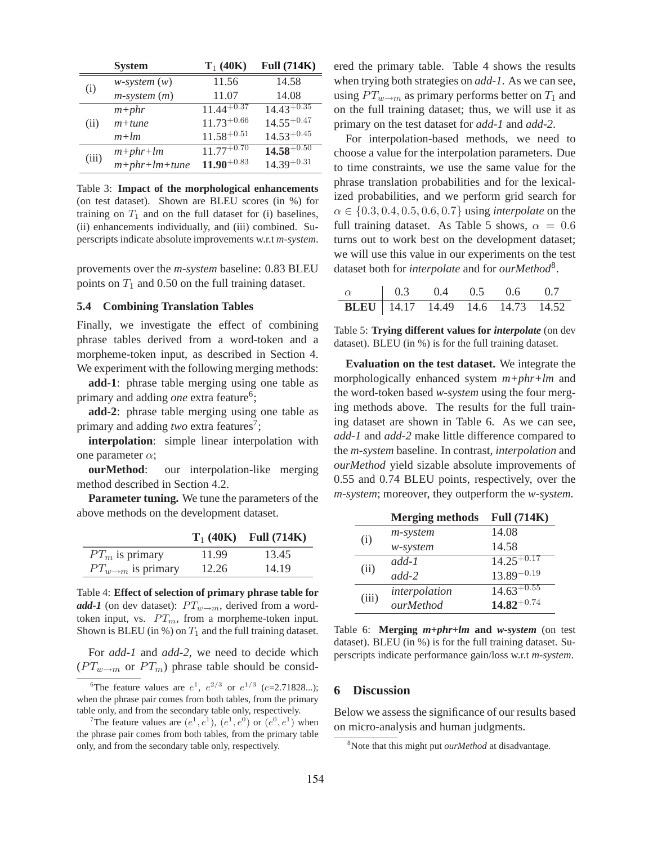|       | <b>System</b>     | $T_1(40K)$      | <b>Full (714K)</b> |
|-------|-------------------|-----------------|--------------------|
| (i)   | $w$ -system $(w)$ | 11.56           | 14.58              |
|       | $m$ -system $(m)$ | 11.07           | 14.08              |
| (ii)  | $m+phr$           | $11.44^{+0.37}$ | $14.43^{+0.35}$    |
|       | $m+$ tune         | $11.73^{+0.66}$ | $14.55^{+0.47}$    |
|       | $m+lm$            | $11.58^{+0.51}$ | $14.53^{+0.45}$    |
| (iii) | $m+phr+lm$        | $11.77^{+0.70}$ | $14.58^{+0.50}$    |
|       | $m+phr+lm+tune$   | $11.90^{+0.83}$ | $14.39^{+0.31}$    |

Table 3: **Impact of the morphological enhancements** (on test dataset). Shown are BLEU scores (in %) for training on  $T_1$  and on the full dataset for (i) baselines, (ii) enhancements individually, and (iii) combined. Superscripts indicate absolute improvements w.r.t *m-system*.

provements over the *m-system* baseline: 0.83 BLEU points on  $T_1$  and 0.50 on the full training dataset.

# **5.4 Combining Translation Tables**

Finally, we investigate the effect of combining phrase tables derived from a word-token and a morpheme-token input, as described in Section 4. We experiment with the following merging methods:

**add-1**: phrase table merging using one table as primary and adding one extra feature<sup>6</sup>;

**add-2**: phrase table merging using one table as primary and adding two extra features<sup>7</sup>;

**interpolation**: simple linear interpolation with one parameter  $\alpha$ ;

**ourMethod**: our interpolation-like merging method described in Section 4.2.

**Parameter tuning.** We tune the parameters of the above methods on the development dataset.

|                                  |       | $T_1(40K)$ Full (714K) |
|----------------------------------|-------|------------------------|
| $PT_m$ is primary                | 11.99 | 13.45                  |
| $PT_{w\rightarrow m}$ is primary | 12.26 | 14.19                  |

Table 4: **Effect of selection of primary phrase table for** *add-1* (on dev dataset):  $PT_{w\rightarrow m}$ , derived from a wordtoken input, vs.  $PT_m$ , from a morpheme-token input. Shown is BLEU (in %) on  $T_1$  and the full training dataset.

For *add-1* and *add-2*, we need to decide which  $(PT_{w\rightarrow m}$  or  $PT_{m}$ ) phrase table should be consid-

<sup>6</sup>The feature values are  $e^1$ ,  $e^{2/3}$  or  $e^{1/3}$  (e=2.71828...); when the phrase pair comes from both tables, from the primary table only, and from the secondary table only, respectively.

<sup>7</sup>The feature values are  $(e^1, e^1)$ ,  $(e^1, e^0)$  or  $(e^0, e^1)$  when the phrase pair comes from both tables, from the primary table only, and from the secondary table only, respectively.

ered the primary table. Table 4 shows the results when trying both strategies on *add-1*. As we can see, using  $PT_{w\rightarrow m}$  as primary performs better on  $T_1$  and on the full training dataset; thus, we will use it as primary on the test dataset for *add-1* and *add-2*.

For interpolation-based methods, we need to choose a value for the interpolation parameters. Due to time constraints, we use the same value for the phrase translation probabilities and for the lexicalized probabilities, and we perform grid search for  $\alpha \in \{0.3, 0.4, 0.5, 0.6, 0.7\}$  using *interpolate* on the full training dataset. As Table 5 shows,  $\alpha = 0.6$ turns out to work best on the development dataset; we will use this value in our experiments on the test dataset both for *interpolate* and for *ourMethod*<sup>8</sup> .

|                                            | $\begin{array}{cccc} 0.3 & 0.4 & 0.5 & 0.6 & 0.7 \end{array}$ |  |  |
|--------------------------------------------|---------------------------------------------------------------|--|--|
| <b>BLEU</b>   14.17 14.49 14.6 14.73 14.52 |                                                               |  |  |

Table 5: **Trying different values for** *interpolate* (on dev dataset). BLEU (in %) is for the full training dataset.

**Evaluation on the test dataset.** We integrate the morphologically enhanced system *m+phr+lm* and the word-token based *w-system* using the four merging methods above. The results for the full training dataset are shown in Table 6. As we can see, *add-1* and *add-2* make little difference compared to the *m-system* baseline. In contrast, *interpolation* and *ourMethod* yield sizable absolute improvements of 0.55 and 0.74 BLEU points, respectively, over the *m-system*; moreover, they outperform the *w-system*.

|       | <b>Merging methods</b> | <b>Full (714K)</b> |
|-------|------------------------|--------------------|
| (i)   | m-system               | 14.08              |
|       | w-system               | 14.58              |
| (ii)  | $add-1$                | $14.25^{+0.17}$    |
|       | $add-2$                | $13.89^{-0.19}$    |
| (iii) | interpolation          | $14.63^{+0.55}$    |
|       | ourMethod              | $14.82^{+0.74}$    |

Table 6: **Merging** *m+phr+lm* **and** *w-system* (on test dataset). BLEU (in %) is for the full training dataset. Superscripts indicate performance gain/loss w.r.t *m-system*.

## **6 Discussion**

Below we assess the significance of our results based on micro-analysis and human judgments.

<sup>8</sup>Note that this might put *ourMethod* at disadvantage.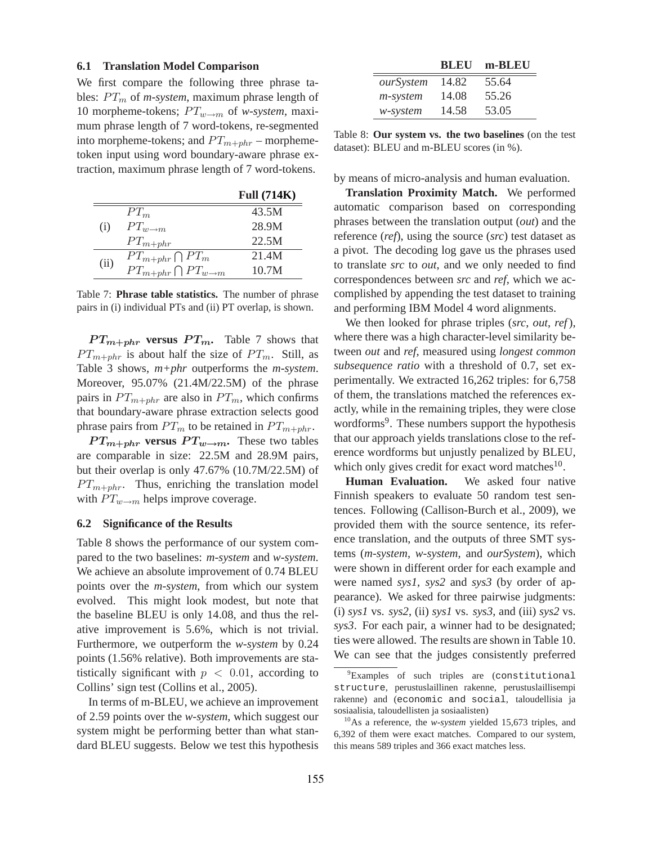#### **6.1 Translation Model Comparison**

We first compare the following three phrase tables:  $PT_m$  of *m-system*, maximum phrase length of 10 morpheme-tokens;  $PT_{w\rightarrow m}$  of *w-system*, maximum phrase length of 7 word-tokens, re-segmented into morpheme-tokens; and  $PT_{m+phr}$  – morphemetoken input using word boundary-aware phrase extraction, maximum phrase length of 7 word-tokens.

|      |                                          | <b>Full (714K)</b> |
|------|------------------------------------------|--------------------|
|      | $PT_m$                                   | 43.5M              |
| (1)  | $PT_{w\rightarrow m}$                    | 28.9M              |
|      | $PT_{m+phr}$                             | 22.5M              |
| (ii) | $PT_{m+phr} \bigcap PT_m$                | 21.4M              |
|      | $PT_{m+phr} \bigcap PT_{w\rightarrow m}$ | 10.7M              |

Table 7: **Phrase table statistics.** The number of phrase pairs in (i) individual PTs and (ii) PT overlap, is shown.

 $PT_{m+phr}$  **versus**  $PT_m$ . Table 7 shows that  $PT_{m+phr}$  is about half the size of  $PT_m$ . Still, as Table 3 shows, *m+phr* outperforms the *m-system*. Moreover, 95.07% (21.4M/22.5M) of the phrase pairs in  $PT_{m+phr}$  are also in  $PT_m$ , which confirms that boundary-aware phrase extraction selects good phrase pairs from  $PT_m$  to be retained in  $PT_{m+phr}$ .

 $PT_{m+phr}$  **versus**  $PT_{w\rightarrow m}$ . These two tables are comparable in size: 22.5M and 28.9M pairs, but their overlap is only 47.67% (10.7M/22.5M) of  $PT_{m+phr}$ . Thus, enriching the translation model with  $PT_{w\rightarrow m}$  helps improve coverage.

#### **6.2 Significance of the Results**

Table 8 shows the performance of our system compared to the two baselines: *m-system* and *w-system*. We achieve an absolute improvement of 0.74 BLEU points over the *m-system*, from which our system evolved. This might look modest, but note that the baseline BLEU is only 14.08, and thus the relative improvement is 5.6%, which is not trivial. Furthermore, we outperform the *w-system* by 0.24 points (1.56% relative). Both improvements are statistically significant with  $p < 0.01$ , according to Collins' sign test (Collins et al., 2005).

In terms of m-BLEU, we achieve an improvement of 2.59 points over the *w-system*, which suggest our system might be performing better than what standard BLEU suggests. Below we test this hypothesis

**BLEU m-BLEU** *ourSystem* 14.82 55.64 *m-system* 14.08 55.26 *w-system* 14.58 53.05

Table 8: **Our system vs. the two baselines** (on the test dataset): BLEU and m-BLEU scores (in %).

by means of micro-analysis and human evaluation.

**Translation Proximity Match.** We performed automatic comparison based on corresponding phrases between the translation output (*out*) and the reference (*ref*), using the source (*src*) test dataset as a pivot. The decoding log gave us the phrases used to translate *src* to *out*, and we only needed to find correspondences between *src* and *ref*, which we accomplished by appending the test dataset to training and performing IBM Model 4 word alignments.

We then looked for phrase triples (*src*, *out*, *ref*), where there was a high character-level similarity between *out* and *ref*, measured using *longest common subsequence ratio* with a threshold of 0.7, set experimentally. We extracted 16,262 triples: for 6,758 of them, the translations matched the references exactly, while in the remaining triples, they were close wordforms<sup>9</sup>. These numbers support the hypothesis that our approach yields translations close to the reference wordforms but unjustly penalized by BLEU, which only gives credit for exact word matches<sup>10</sup>.

**Human Evaluation.** We asked four native Finnish speakers to evaluate 50 random test sentences. Following (Callison-Burch et al., 2009), we provided them with the source sentence, its reference translation, and the outputs of three SMT systems (*m-system*, *w-system*, and *ourSystem*), which were shown in different order for each example and were named *sys1*, *sys2* and *sys3* (by order of appearance). We asked for three pairwise judgments: (i) *sys1* vs. *sys2*, (ii) *sys1* vs. *sys3*, and (iii) *sys2* vs. *sys3*. For each pair, a winner had to be designated; ties were allowed. The results are shown in Table 10. We can see that the judges consistently preferred

<sup>&</sup>lt;sup>9</sup>Examples of such triples are (constitutional structure, perustuslaillinen rakenne, perustuslaillisempi rakenne) and (economic and social, taloudellisia ja sosiaalisia, taloudellisten ja sosiaalisten)

<sup>10</sup>As a reference, the *w-system* yielded 15,673 triples, and 6,392 of them were exact matches. Compared to our system, this means 589 triples and 366 exact matches less.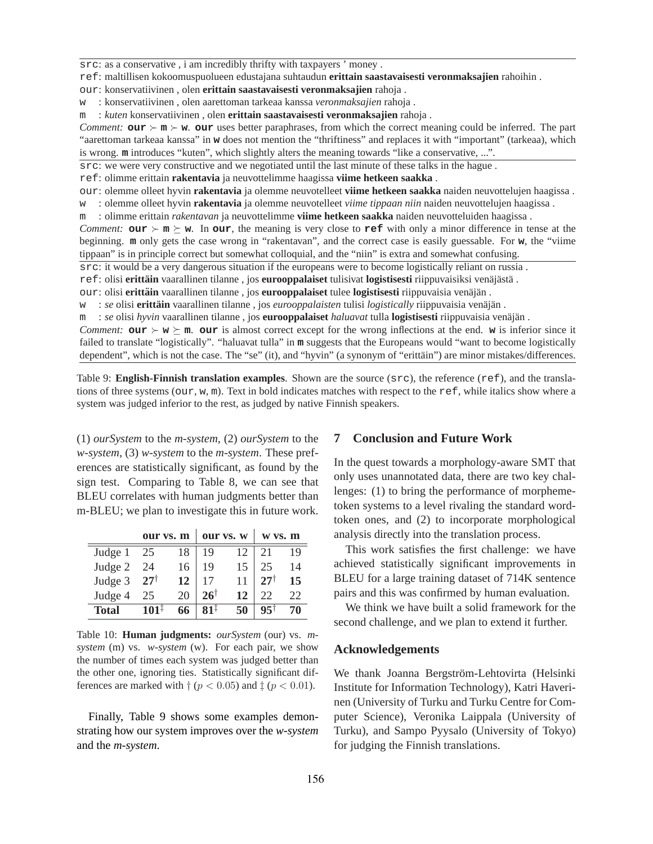src: as a conservative , i am incredibly thrifty with taxpayers ' money .

ref: maltillisen kokoomuspuolueen edustajana suhtaudun **erittain saastavaisesti veronmaksajien** rahoihin .

our: konservatiivinen , olen **erittain saastavaisesti veronmaksajien** rahoja .

w : konservatiivinen , olen aarettoman tarkeaa kanssa *veronmaksajien* rahoja .

m : *kuten* konservatiivinen , olen **erittain saastavaisesti veronmaksajien** rahoja .

*Comment:*  $\text{our} \succ \text{m} \succ \text{w}$ .  $\text{our}$  uses better paraphrases, from which the correct meaning could be inferred. The part "aarettoman tarkeaa kanssa" in **w** does not mention the "thriftiness" and replaces it with "important" (tarkeaa), which is wrong. **m** introduces "kuten", which slightly alters the meaning towards "like a conservative, ...".

src: we were very constructive and we negotiated until the last minute of these talks in the hague .

ref: olimme erittain **rakentavia** ja neuvottelimme haagissa **viime hetkeen saakka** .

our: olemme olleet hyvin **rakentavia** ja olemme neuvotelleet **viime hetkeen saakka** naiden neuvottelujen haagissa .

w : olemme olleet hyvin **rakentavia** ja olemme neuvotelleet *viime tippaan niin* naiden neuvottelujen haagissa . m : olimme erittain *rakentavan* ja neuvottelimme **viime hetkeen saakka** naiden neuvotteluiden haagissa .

*Comment:*  $\text{our} \succ \text{m} \succeq \text{w}$ . In  $\text{our}$ , the meaning is very close to  $\text{ref}$  with only a minor difference in tense at the beginning. **m** only gets the case wrong in "rakentavan", and the correct case is easily guessable. For **w**, the "viime tippaan" is in principle correct but somewhat colloquial, and the "niin" is extra and somewhat confusing.

src: it would be a very dangerous situation if the europeans were to become logistically reliant on russia .

ref: olisi **erittäin** vaarallinen tilanne, jos **eurooppalaiset** tulisivat **logistisesti** riippuvaisiksi venäjästä.

our: olisi **erittäin** vaarallinen tilanne, jos **eurooppalaiset** tulee **logistisesti** riippuvaisia venäjän.

w : *se* olisi **erittäin** vaarallinen tilanne, jos *eurooppalaisten* tulisi *logistically* riippuvaisia venäjän.

m : *se* olisi *hyvin* vaarallinen tilanne, jos **eurooppalaiset** *haluavat* tulla **logistisesti** riippuvaisia venäjän.

*Comment:*  $\text{our} \succ \text{w} \succeq \text{m}$ .  $\text{our}$  is almost correct except for the wrong inflections at the end. **w** is inferior since it failed to translate "logistically". "haluavat tulla" in **m** suggests that the Europeans would "want to become logistically dependent", which is not the case. The "se" (it), and "hyvin" (a synonym of "erittäin") are minor mistakes/differences.

Table 9: **English-Finnish translation examples**. Shown are the source (src), the reference (ref), and the translations of three systems (our, w, m). Text in bold indicates matches with respect to the ref, while italics show where a system was judged inferior to the rest, as judged by native Finnish speakers.

(1) *ourSystem* to the *m-system*, (2) *ourSystem* to the *w-system*, (3) *w-system* to the *m-system*. These preferences are statistically significant, as found by the sign test. Comparing to Table 8, we can see that BLEU correlates with human judgments better than m-BLEU; we plan to investigate this in future work.

|              | our vs. m        |    | our vs. w                |    | w vs. m        |     |
|--------------|------------------|----|--------------------------|----|----------------|-----|
| Judge 1      | 25               | 18 | 19                       | 12 | 21             | 19  |
| Judge 2      | 24               | 16 | 19                       | 15 | 25             | 14  |
| Judge 3      | $27^{\dagger}$   | 12 |                          | 11 | $27^{\dagger}$ | 15  |
| Judge 4      | 25               | 20 | $26^{\dagger}$           | 12 | 22             | 22. |
| <b>Total</b> | $101^{\ddagger}$ | 66 | $\mathbf{81}^{\ddagger}$ | 50 | $95^{\circ}$   |     |

Table 10: **Human judgments:** *ourSystem* (our) vs. *msystem* (m) vs. *w-system* (w). For each pair, we show the number of times each system was judged better than the other one, ignoring ties. Statistically significant differences are marked with  $\dagger$  ( $p < 0.05$ ) and  $\ddagger$  ( $p < 0.01$ ).

Finally, Table 9 shows some examples demonstrating how our system improves over the *w-system* and the *m-system*.

# **7 Conclusion and Future Work**

In the quest towards a morphology-aware SMT that only uses unannotated data, there are two key challenges: (1) to bring the performance of morphemetoken systems to a level rivaling the standard wordtoken ones, and (2) to incorporate morphological analysis directly into the translation process.

This work satisfies the first challenge: we have achieved statistically significant improvements in BLEU for a large training dataset of 714K sentence pairs and this was confirmed by human evaluation.

We think we have built a solid framework for the second challenge, and we plan to extend it further.

# **Acknowledgements**

We thank Joanna Bergström-Lehtovirta (Helsinki Institute for Information Technology), Katri Haverinen (University of Turku and Turku Centre for Computer Science), Veronika Laippala (University of Turku), and Sampo Pyysalo (University of Tokyo) for judging the Finnish translations.